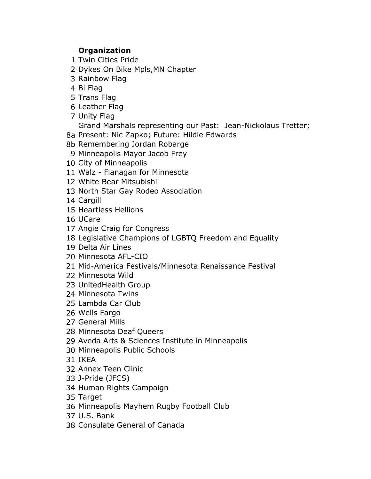## **Organization**

- Twin Cities Pride
- Dykes On Bike Mpls,MN Chapter
- Rainbow Flag
- Bi Flag
- Trans Flag
- Leather Flag
- Unity Flag

Grand Marshals representing our Past: Jean-Nickolaus Tretter;

- 8a Present: Nic Zapko; Future: Hildie Edwards
- 8b Remembering Jordan Robarge
- Minneapolis Mayor Jacob Frey
- City of Minneapolis
- Walz Flanagan for Minnesota
- White Bear Mitsubishi
- North Star Gay Rodeo Association
- Cargill
- Heartless Hellions
- UCare
- Angie Craig for Congress
- Legislative Champions of LGBTQ Freedom and Equality
- Delta Air Lines
- Minnesota AFL-CIO
- Mid-America Festivals/Minnesota Renaissance Festival
- Minnesota Wild
- [UnitedHealth Group](mailto:Pride@UHG%20(United%20HealthGroup%20ERG))
- Minnesota Twins
- Lambda Car Club
- Wells Fargo
- General Mills
- Minnesota Deaf Queers
- Aveda Arts & Sciences Institute in Minneapolis
- Minneapolis Public Schools
- IKEA
- Annex Teen Clinic
- J-Pride (JFCS)
- Human Rights Campaign
- Target
- Minneapolis Mayhem Rugby Football Club
- U.S. Bank
- Consulate General of Canada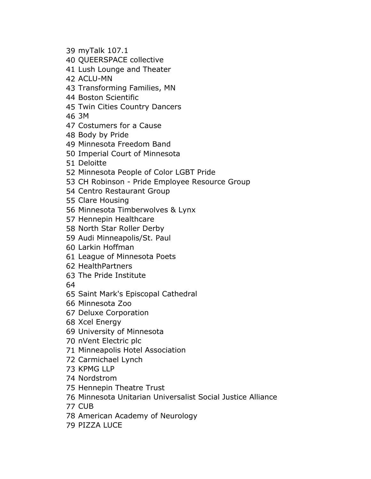- myTalk 107.1
- QUEERSPACE collective
- Lush Lounge and Theater
- ACLU-MN
- Transforming Families, MN
- Boston Scientific
- Twin Cities Country Dancers
- 3M
- Costumers for a Cause
- Body by Pride
- Minnesota Freedom Band
- Imperial Court of Minnesota
- Deloitte
- Minnesota People of Color LGBT Pride
- CH Robinson Pride Employee Resource Group
- Centro Restaurant Group
- Clare Housing
- Minnesota Timberwolves & Lynx
- Hennepin Healthcare
- North Star Roller Derby
- Audi Minneapolis/St. Paul
- Larkin Hoffman
- League of Minnesota Poets
- HealthPartners
- The Pride Institute
- 
- Saint Mark's Episcopal Cathedral
- Minnesota Zoo
- Deluxe Corporation
- Xcel Energy
- University of Minnesota
- nVent Electric plc
- Minneapolis Hotel Association
- Carmichael Lynch
- KPMG LLP
- Nordstrom
- Hennepin Theatre Trust
- Minnesota Unitarian Universalist Social Justice Alliance
- CUB
- American Academy of Neurology
- PIZZA LUCE